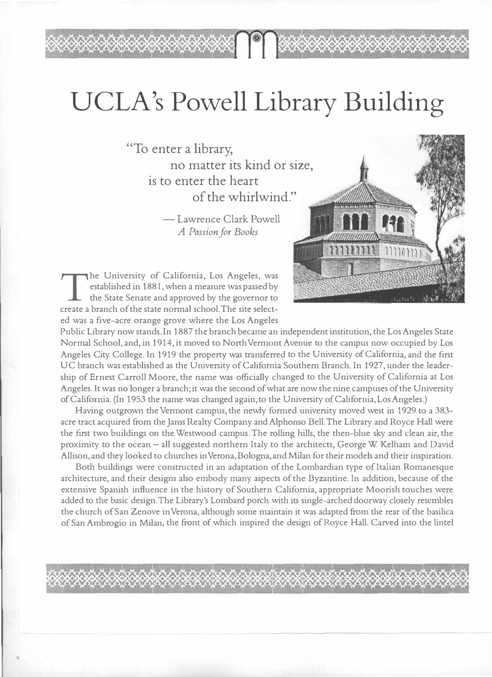## UCLA's Powell Library Building

"To enter a library, no matter its kind or size, is to enter the heart of the whirlwind."

> — Lawrence Clark Powell *A Passion for Books*



 $\rm T$  the State Senate and approved by the governor to he University of California, Los Angeles, was established in 1881, when a measure was passed by create a branch of the state normal school.The site selected was a five-acre orange grove where the Los Angeles

*V V V V V V V* 

Public Library now stands. In 1887 the branch became an independent institution, the Los Angeles State Normal School, and, in 1914, it moved to North Vermont Avenue to the campus now occupied by Los Angeles City College. In 1919 the property was transferred to the University of California, and the first UC branch was established as the University of California Southern Branch. In 1927, under the leadership of Ernest Carroll Moore, the name was officially changed to the University of California at Los Angeles. It was no longer a branch; it was the second of what are now the nine campuses of the University of California. (In 1953 the name was changed again, to the University of California, Los Angeles.)

Having outgrown the Vermont campus, the newly formed university moved west in 1929 to a 383 acre tract acquired from the Janss Realty Company and Alphonso Bell. The Library and Royce Hall were the first two buildings on the Westwood campus. The rolling hills, the then-blue sky and clean air, the proximity to the ocean - all suggested northern Italy to the architects, George W. Kelham and David Allison, and they looked to churches in Verona,Bologna, and Milan for their models and their inspiration.

Both buildings were constructed in an adaptation of the Lombardian type of Italian Romanesque architecture, and their designs also embody many aspects of the Byzantine. In addition, because of the extensive Spanish influence in the history of Southern California, appropriate Moorish touches were added to the basic design.The Library's Lombard porch with its single-arched doorway closely resembles the church of San Zenove in Verona, although some maintain it was adapted from the rear of the basilica of San Ambrogio in Milan, the front of which inspired the design of Royce Hall. Carved into the lintel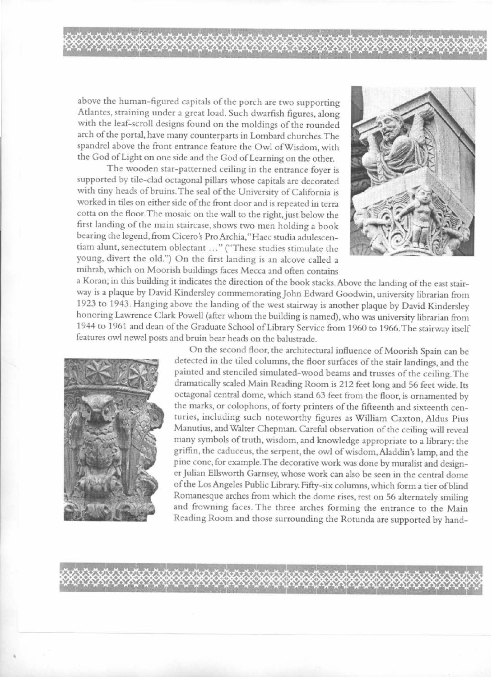above the human-figured capitals of the porch arc two supporting Atlantes, straining under a great load. Such dwarfish figures, along with the leaf-scroll designs found on the moldings of the rounded arch of the portal, have many counterparts in Lombard churches. The spandrel above the front entrance feature the Owl ofWisdom, with the God of Light on one side and the God of Learning on the other.

XXXXXXXXXXXXXXXXXXXXXXXXXXXXX

The wooden star-patterned ceiling in the entrance foyer is supported by tile-clad octagonal pillars whose capitals are decorated with tiny heads of bruins. The seal of the University of California is worked in tiles on either side of the front door and is repeated in terra cotta on the floor.The mosaic on the wall to the right.just below the first landing of the main staircase, shows two men holding a book bearing the legend, from Cicero's Pro Archia, "Hacc studia adulescentiam alunt, scnectutem oblectant ... "("These studies stimulate the young, divert the old.") On the first landing is an alcove called a mihrab, which on Moorish buildings faces Mecca and often contains



a Koran; in this building it indicates the direction of the book stacks. Above the landing of the east stairway is a plaque by David Kindersley commemorating John Edward Goodwin, university librarian from 1923 to 1943. Hanging above the landing of the west stairway is another plaque by David Kindersley honoring Lawrence Clark Powell (after whom the building is named), who was university librarian from 1944 lo 1961 and dean of the Graduate School of Library Service from 1960 to 1966.The stairway itself features owl newel posts and bruin bear heads on the balustrade.



On the second floor, the architectural influence of Moorish Spain can be detected in the tiled columns, the floor surfaces of the stair landings, and the painted and stenciled simulated-wood beams and trusses of the ceiling. The dramatically scaled Main Reading Room is 212 feet long and 56 feet wide. Its octagonal central dome, which stand 63 feet from the floor, is ornamented by the marks, or colophons, of forty printers of the fifteenth and sixteenth centuries, including such noteworthy figures as William Caxton, Aldus Pius Manutius, and Walter Chepman. Careful observation of the ceiling will reveal many symbols of truth, wisdom, and knowledge appropriate to a library: the griffin, the caduceus, the serpent, the owl of wisdom, Aladdin's Jamp, and the pine cone, for example. The decorative work was done by muralist and designer Julian Ellsworth Garnsey, whose work can also be seen in the central dome of the Los Angeles Public Library. Fifty-six columns, which form a tier of blind Romanesque arches from which the dome rises, rest on 56 alternately smiling and frowning faces. The three arches forming the entrance to the Main Reading Room and those surrounding the Rotunda are supported by hand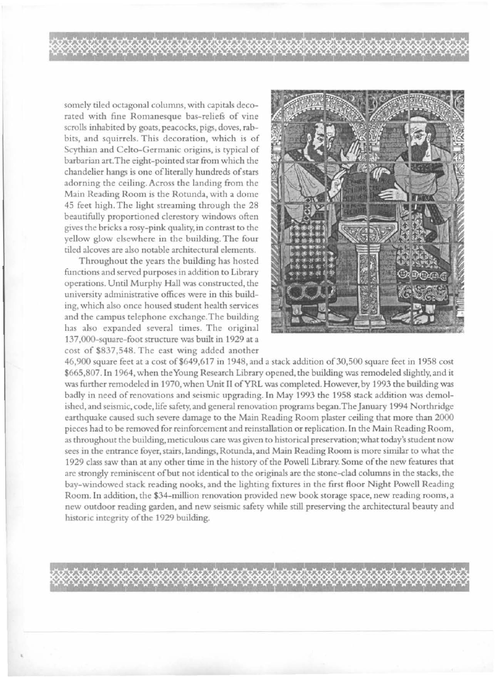somely tiled octagonal columns, with capitals decorated with fine Romanesque bas-reliefs of vine scrolls inhabited by goats, peacocks, pigs, doves, rabbits, and squirrels. This decoration, which is of Scythian and Celto-Germanic origins, is typical of barbarian art.The eight-pointed star from which the chandelier hangs is one of literally hundreds of stars adorning the ceiling. Across the landing from the Main Reading Room is the Rotunda, with a dome 45 feet high. The light streaming through the 28 beautifully proportioned clerestory windows often gives the bricks a rosy-pink quality, in contrast to the yellow glow elsewhere in the building. The four tiled alcoves are also notable architectural clements.

Throughout the years the building has hosted functions and served purposes in addition to Library operations. Until Murphy Hall was constructed, the university administrative offices were in this building, which also once housed student health services and the campus telephone exchange. The building has also expanded several times. The original 137,000-square-foot structure was built in 1929 at a cost of \$837,548. The east wing added another



46,900 square feet at a cost of \$649,617 in 1948, and a stack addition of 30,500 square feet in 1958 cost \$665,807. In 1964, when the Young Research Library opened, the building was remodeled slightly, and it was further remodeled in 1970, when Unit II of YRL was completed. However, by 1993 the building was badly in need of renovations and seismic upgrading. In May 1993 the 1958 stack addition was demolished, and seismic, code, life safety, and general renovation programs began. The January 1994 Northridge earthquake caused such severe damage to the Main Reading Room plaster ceiling that more than 2000 pieces had to be removed for reinforcement and reinstallation or replication. In the Main Reading Room, as throughout the building, meticulous care was given to historical preservation; what today's student now sees in the entrance foyer, stairs, landings, Rotunda, and Main Reading Room is more similar to what the 1929 class saw than at any other time in the history of the Powell Library. Some of the new features that are strongly reminiscent of but not identical to the originals are the stone-clad columns in the stacks, the bay-windowed stack reading nooks, and the lighting fixtures in the first floor Night Powell Reading Room. In addition, the \$34- nullion renovation provided new book storage space, new reading rooms, a new outdoor reading garden, and new seismic safety while still preserving the architectural beauty and historic integrity of the 1929 building.